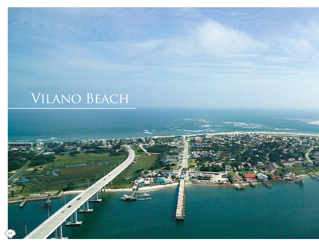# Vilano Beach

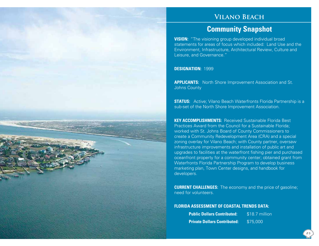### **Vilano Beach**

## **Community Snapshot**

**VISION:** "The visioning group developed individual broad statements for areas of focus which included: Land Use and the Environment, Infrastructure, Architectural Review, Culture and Leisure, and Governance."

**DESIGNATION:** 1999

**APPLICANTS:** North Shore Improvement Association and St. Johns County

**STATUS:** Active; Vilano Beach Waterfronts Florida Partnership is a sub-set of the North Shore Improvement Association.

**KEY ACCOMPLISHMENTS:** Received Sustainable Florida Best Practices Award from the Council for a Sustainable Florida; worked with St. Johns Board of County Commissioners to create a Community Redevelopment Area (CRA) and a special zoning overlay for Vilano Beach; with County partner, oversaw infrastructure improvements and installation of public art and upgrades to facilities at the waterfront fishing pier and purchased oceanfront property for a community center; obtained grant from Waterfronts Florida Partnership Program to develop business marketing plan, Town Center designs, and handbook for developers.

**CURRENT CHALLENGES:** The economy and the price of gasoline; need for volunteers.

#### **FLORIDA ASSESSMENT OF COASTAL TRENDS DATA:**

| <b>Public Dollars Contributed:</b>  | \$18.7 million |
|-------------------------------------|----------------|
| <b>Private Dollars Contributed:</b> | \$75,000       |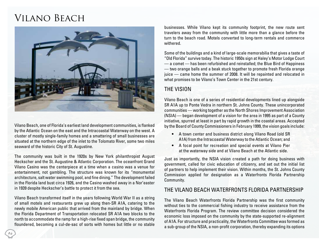# Vilano Beach



Vilano Beach, one of Florida's earliest land development communities, is flanked by the Atlantic Ocean on the east and the Intracoastal Waterway on the west. A cluster of mostly single-family homes and a smattering of small businesses are situated at the northern edge of the inlet to the Tolomato River, some two miles seaward of the historic City of St. Augustine.

The community was built in the 1920s by New York philanthropist August Heckscher and the St. Augustine & Atlantic Corporation. The oceanfront Grand Vilano Casino was the centerpiece at a time when a casino was a venue for entertainment, not gambling. The structure was known for its "monumental architecture, salt water swimming pool, and fine dining." The development failed in the Florida land bust circa 1926, and the Casino washed away in a Nor'easter in 1939 despite Heckscher's battle to protect it from the sea.

Vilano Beach transformed itself in the years following World War II as a string of small motels and restaurants grew up along then-SR A1A, catering to the newly mobile American public that arrived from the mainland by bridge. When the Florida Department of Transportation relocated SR A1A two blocks to the north to accommodate the ramp for a high-rise fixed span bridge, the community floundered, becoming a cul-de-sac of sorts with homes but little or no stable

businesses. While Vilano kept its community footprint, the new route sent travelers away from the community with little more than a glance before the turn to the beach road. Motels converted to long-term rentals and commerce withered.

Some of the buildings and a kind of large-scale memorabilia that gives a taste of "Old Florida" survive today. The historic 1950s sign at Haley's Motor Lodge Court — a comet — has been refurbished and reinstalled; the Blue Bird of Happiness — two orange balls and a beak stuck together to promote fresh Florida orange juice — came home the summer of 2008. It will be repainted and relocated in what promises to be Vilano's Town Center in the 21st century.

### The Vision

Vilano Beach is one of a series of residential developments lined up alongside SR A1A up to Ponte Vedra in northern St. Johns County. These unincorporated communities — working together as the North Shores Improvement Association (NSIA) — began development of a vision for the area in 1995 as part of a County initiative, spurred at least in part by rapid growth in the coastal areas. Accepted by the Board of County Commissioners in February 1999, the vision goals include:

- A town center and business district along Vilano Road (old SR A1A) from the Intracoastal Waterway to the Atlantic Ocean; and
- A focal point for recreation and special events at Vilano Pier at the waterway side and at Vilano Beach at the Atlantic side.

Just as importantly, the NSIA vision created a path for doing business with government, called for civic education of citizenry, and set out the initial list of partners to help implement their vision. Within months, the St. Johns County Commission applied for designation as a Waterfronts Florida Partnership Community.

### The Vilano Beach Waterfronts Florida Partnership

The Vilano Beach Waterfronts Florida Partnership was the first community without ties to the commercial fishing industry to receive assistance from the Waterfronts Florida Program. The review committee decision considered the economic loss imposed on the community by the state-supported re-alignment of A1A. For structure and practicality, the Waterfronts Committee was formed as a sub-group of the NSIA, a non-profit corporation, thereby expanding its options